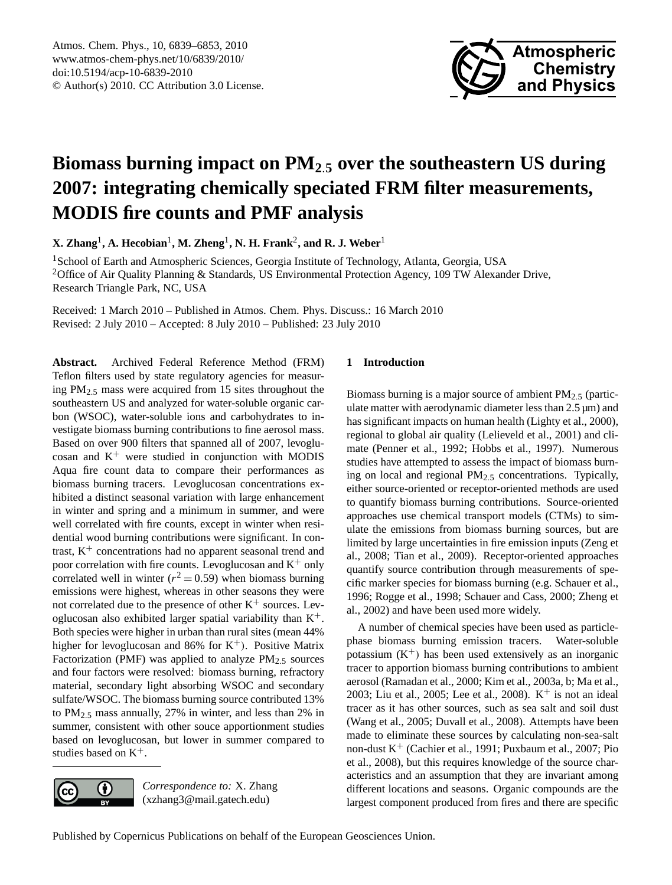

# <span id="page-0-0"></span>**Biomass burning impact on PM<sup>2</sup>**.**<sup>5</sup> over the southeastern US during 2007: integrating chemically speciated FRM filter measurements, MODIS fire counts and PMF analysis**

 $\mathbf{X}.$  Zhang<sup>1</sup>, A. Hecobian<sup>1</sup>, M. Zheng<sup>1</sup>, N. H. Frank<sup>2</sup>, and **R. J.** Weber<sup>1</sup>

<sup>1</sup> School of Earth and Atmospheric Sciences, Georgia Institute of Technology, Atlanta, Georgia, USA <sup>2</sup>Office of Air Quality Planning & Standards, US Environmental Protection Agency, 109 TW Alexander Drive, Research Triangle Park, NC, USA

Received: 1 March 2010 – Published in Atmos. Chem. Phys. Discuss.: 16 March 2010 Revised: 2 July 2010 – Accepted: 8 July 2010 – Published: 23 July 2010

**Abstract.** Archived Federal Reference Method (FRM) Teflon filters used by state regulatory agencies for measuring PM2.<sup>5</sup> mass were acquired from 15 sites throughout the southeastern US and analyzed for water-soluble organic carbon (WSOC), water-soluble ions and carbohydrates to investigate biomass burning contributions to fine aerosol mass. Based on over 900 filters that spanned all of 2007, levoglucosan and  $K^+$  were studied in conjunction with MODIS Aqua fire count data to compare their performances as biomass burning tracers. Levoglucosan concentrations exhibited a distinct seasonal variation with large enhancement in winter and spring and a minimum in summer, and were well correlated with fire counts, except in winter when residential wood burning contributions were significant. In contrast,  $K^+$  concentrations had no apparent seasonal trend and poor correlation with fire counts. Levoglucosan and  $K^+$  only correlated well in winter ( $r^2 = 0.59$ ) when biomass burning emissions were highest, whereas in other seasons they were not correlated due to the presence of other  $K^+$  sources. Levoglucosan also exhibited larger spatial variability than  $K^+$ . Both species were higher in urban than rural sites (mean 44% higher for levoglucosan and 86% for  $K^+$ ). Positive Matrix Factorization (PMF) was applied to analyze  $PM_{2.5}$  sources and four factors were resolved: biomass burning, refractory material, secondary light absorbing WSOC and secondary sulfate/WSOC. The biomass burning source contributed 13% to PM2.<sup>5</sup> mass annually, 27% in winter, and less than 2% in summer, consistent with other souce apportionment studies based on levoglucosan, but lower in summer compared to studies based on  $K^+$ .



Biomass burning is a major source of ambient  $PM<sub>2.5</sub>$  (particulate matter with aerodynamic diameter less than  $2.5 \mu m$ ) and has significant impacts on human health (Lighty et al., 2000), regional to global air quality (Lelieveld et al., 2001) and climate (Penner et al., 1992; Hobbs et al., 1997). Numerous studies have attempted to assess the impact of biomass burning on local and regional PM2.<sup>5</sup> concentrations. Typically, either source-oriented or receptor-oriented methods are used to quantify biomass burning contributions. Source-oriented approaches use chemical transport models (CTMs) to simulate the emissions from biomass burning sources, but are limited by large uncertainties in fire emission inputs (Zeng et al., 2008; Tian et al., 2009). Receptor-oriented approaches quantify source contribution through measurements of specific marker species for biomass burning (e.g. Schauer et al., 1996; Rogge et al., 1998; Schauer and Cass, 2000; Zheng et al., 2002) and have been used more widely.

A number of chemical species have been used as particlephase biomass burning emission tracers. Water-soluble potassium  $(K^+)$  has been used extensively as an inorganic tracer to apportion biomass burning contributions to ambient aerosol (Ramadan et al., 2000; Kim et al., 2003a, b; Ma et al., 2003; Liu et al., 2005; Lee et al., 2008).  $K^+$  is not an ideal tracer as it has other sources, such as sea salt and soil dust (Wang et al., 2005; Duvall et al., 2008). Attempts have been made to eliminate these sources by calculating non-sea-salt non-dust  $K^+$  (Cachier et al., 1991; Puxbaum et al., 2007; Pio et al., 2008), but this requires knowledge of the source characteristics and an assumption that they are invariant among different locations and seasons. Organic compounds are the largest component produced from fires and there are specific



Published by Copernicus Publications on behalf of the European Geosciences Union.

*Correspondence to:* X. Zhang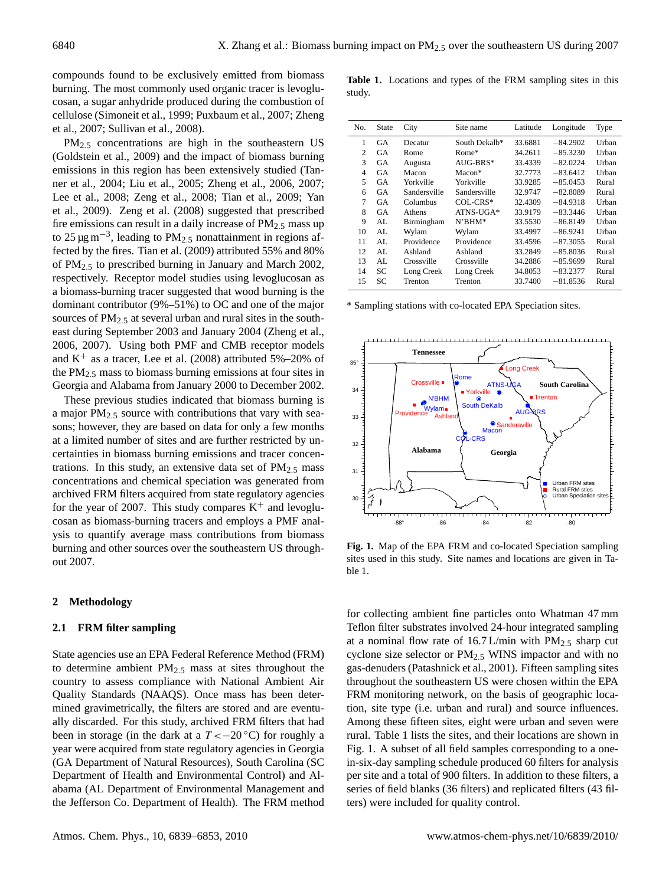compounds found to be exclusively emitted from biomass burning. The most commonly used organic tracer is levoglucosan, a sugar anhydride produced during the combustion of cellulose (Simoneit et al., 1999; Puxbaum et al., 2007; Zheng et al., 2007; Sullivan et al., 2008).

PM2.<sup>5</sup> concentrations are high in the southeastern US (Goldstein et al., 2009) and the impact of biomass burning emissions in this region has been extensively studied (Tanner et al., 2004; Liu et al., 2005; Zheng et al., 2006, 2007; Lee et al., 2008; Zeng et al., 2008; Tian et al., 2009; Yan et al., 2009). Zeng et al. (2008) suggested that prescribed fire emissions can result in a daily increase of  $PM_{2.5}$  mass up to 25  $\mu$ g m<sup>-3</sup>, leading to PM<sub>2.5</sub> nonattainment in regions affected by the fires. Tian et al. (2009) attributed 55% and 80% of PM2.<sup>5</sup> to prescribed burning in January and March 2002, respectively. Receptor model studies using levoglucosan as a biomass-burning tracer suggested that wood burning is the dominant contributor (9%–51%) to OC and one of the major sources of  $PM_{2.5}$  at several urban and rural sites in the southeast during September 2003 and January 2004 (Zheng et al., 2006, 2007). Using both PMF and CMB receptor models and  $K^+$  as a tracer, Lee et al. (2008) attributed 5%–20% of the PM2.<sup>5</sup> mass to biomass burning emissions at four sites in Georgia and Alabama from January 2000 to December 2002.

These previous studies indicated that biomass burning is a major  $PM<sub>2.5</sub>$  source with contributions that vary with seasons; however, they are based on data for only a few months at a limited number of sites and are further restricted by uncertainties in biomass burning emissions and tracer concentrations. In this study, an extensive data set of  $PM_{2.5}$  mass concentrations and chemical speciation was generated from archived FRM filters acquired from state regulatory agencies for the year of 2007. This study compares  $K^+$  and levoglucosan as biomass-burning tracers and employs a PMF analysis to quantify average mass contributions from biomass burning and other sources over the southeastern US throughout 2007.

## **2 Methodology**

#### **2.1 FRM filter sampling**

State agencies use an EPA Federal Reference Method (FRM) to determine ambient  $PM_{2.5}$  mass at sites throughout the country to assess compliance with National Ambient Air Quality Standards (NAAQS). Once mass has been determined gravimetrically, the filters are stored and are eventually discarded. For this study, archived FRM filters that had been in storage (in the dark at a  $T < -20$  °C) for roughly a year were acquired from state regulatory agencies in Georgia (GA Department of Natural Resources), South Carolina (SC Department of Health and Environmental Control) and Alabama (AL Department of Environmental Management and the Jefferson Co. Department of Health). The FRM method

**Table 1.** Locations and types of the FRM sampling sites in this study.

| No.            | State | City         | Site name     | Latitude | Longitude  | Type  |
|----------------|-------|--------------|---------------|----------|------------|-------|
| 1              | GA    | Decatur      | South Dekalb* | 33.6881  | $-84.2902$ | Urban |
| 2              | GA    | Rome         | $Rome*$       | 34.2611  | $-85.3230$ | Urban |
| 3              | GA    | Augusta      | $AUG-BRS*$    | 33.4339  | $-82.0224$ | Urban |
| $\overline{4}$ | GA    | Macon        | $Macon*$      | 32.7773  | $-83.6412$ | Urban |
| 5              | GA    | Yorkville    | Yorkville     | 33.9285  | $-85.0453$ | Rural |
| 6              | GA    | Sandersville | Sandersville  | 32.9747  | $-82.8089$ | Rural |
| 7              | GA    | Columbus     | $COL-CRS*$    | 32.4309  | $-84.9318$ | Urban |
| 8              | GA    | Athens       | $ATNS-UGA*$   | 33.9179  | $-83.3446$ | Urban |
| 9              | AL.   | Birmingham   | $N'BHM^*$     | 33.5530  | $-86.8149$ | Urban |
| 10             | AL.   | Wylam        | Wylam         | 33.4997  | $-86.9241$ | Urban |
| 11             | AL.   | Providence   | Providence    | 33.4596  | $-87.3055$ | Rural |
| 12             | AL.   | Ashland      | Ashland       | 33.2849  | $-85.8036$ | Rural |
| 13             | AL.   | Crossville   | Crossville    | 34.2886  | $-85.9699$ | Rural |
| 14             | SС    | Long Creek   | Long Creek    | 34.8053  | $-83.2377$ | Rural |
| 15             | SС    | Trenton      | Trenton       | 33.7400  | $-81.8536$ | Rural |

\* Sampling stations with co-located EPA Speciation sites.



**Fig. 1.** Map of the EPA FRM and co-located Speciation sampling sites used in this study. Site names and locations are given in Table 1.

for collecting ambient fine particles onto Whatman 47 mm Teflon filter substrates involved 24-hour integrated sampling at a nominal flow rate of  $16.7$  L/min with PM<sub>2.5</sub> sharp cut cyclone size selector or PM2.<sup>5</sup> WINS impactor and with no gas-denuders (Patashnick et al., 2001). Fifteen sampling sites throughout the southeastern US were chosen within the EPA FRM monitoring network, on the basis of geographic location, site type (i.e. urban and rural) and source influences. Among these fifteen sites, eight were urban and seven were rural. Table 1 lists the sites, and their locations are shown in Fig. 1. A subset of all field samples corresponding to a onein-six-day sampling schedule produced 60 filters for analysis per site and a total of 900 filters. In addition to these filters, a series of field blanks (36 filters) and replicated filters (43 filters) were included for quality control.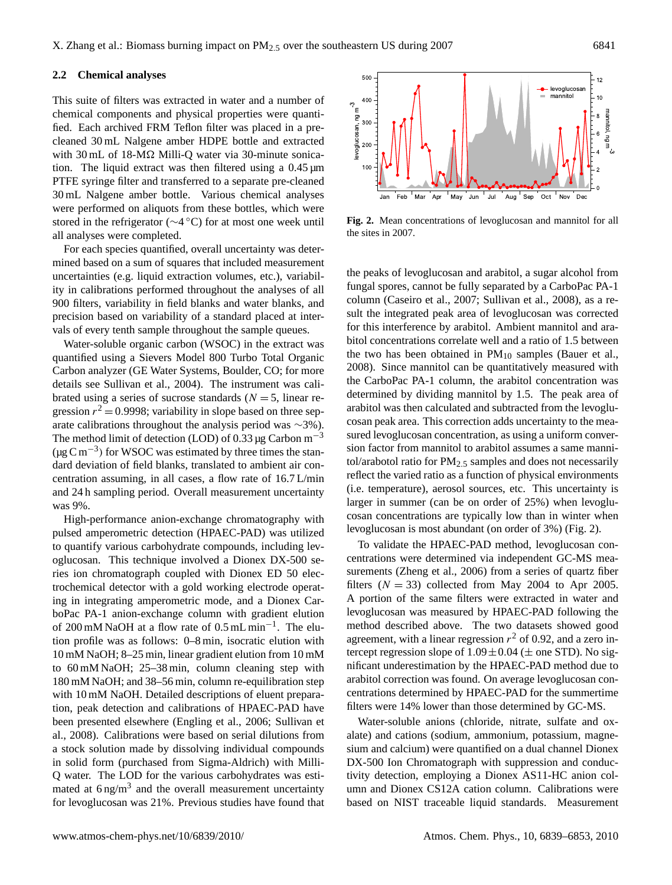### **2.2 Chemical analyses**

This suite of filters was extracted in water and a number of chemical components and physical properties were quantified. Each archived FRM Teflon filter was placed in a precleaned 30 mL Nalgene amber HDPE bottle and extracted with 30 mL of 18-M $\Omega$  Milli-Q water via 30-minute sonication. The liquid extract was then filtered using a 0.45 µm PTFE syringe filter and transferred to a separate pre-cleaned 30 mL Nalgene amber bottle. Various chemical analyses were performed on aliquots from these bottles, which were stored in the refrigerator (∼4 ◦C) for at most one week until all analyses were completed.

For each species quantified, overall uncertainty was determined based on a sum of squares that included measurement uncertainties (e.g. liquid extraction volumes, etc.), variability in calibrations performed throughout the analyses of all 900 filters, variability in field blanks and water blanks, and precision based on variability of a standard placed at intervals of every tenth sample throughout the sample queues.

Water-soluble organic carbon (WSOC) in the extract was quantified using a Sievers Model 800 Turbo Total Organic Carbon analyzer (GE Water Systems, Boulder, CO; for more details see Sullivan et al., 2004). The instrument was calibrated using a series of sucrose standards ( $N = 5$ , linear regression  $r^2 = 0.9998$ ; variability in slope based on three separate calibrations throughout the analysis period was ∼3%). The method limit of detection (LOD) of 0.33  $\mu$ g Carbon m<sup>-3</sup>  $(\mu g C m^{-3})$  for WSOC was estimated by three times the standard deviation of field blanks, translated to ambient air concentration assuming, in all cases, a flow rate of 16.7 L/min and 24 h sampling period. Overall measurement uncertainty was 9%.

High-performance anion-exchange chromatography with pulsed amperometric detection (HPAEC-PAD) was utilized to quantify various carbohydrate compounds, including levoglucosan. This technique involved a Dionex DX-500 series ion chromatograph coupled with Dionex ED 50 electrochemical detector with a gold working electrode operating in integrating amperometric mode, and a Dionex CarboPac PA-1 anion-exchange column with gradient elution of 200 mM NaOH at a flow rate of 0.5 mL min−<sup>1</sup> . The elution profile was as follows: 0–8 min, isocratic elution with 10 mM NaOH; 8–25 min, linear gradient elution from 10 mM to 60 mM NaOH; 25–38 min, column cleaning step with 180 mM NaOH; and 38–56 min, column re-equilibration step with 10 mM NaOH. Detailed descriptions of eluent preparation, peak detection and calibrations of HPAEC-PAD have been presented elsewhere (Engling et al., 2006; Sullivan et al., 2008). Calibrations were based on serial dilutions from a stock solution made by dissolving individual compounds in solid form (purchased from Sigma-Aldrich) with Milli-Q water. The LOD for the various carbohydrates was estimated at  $6 \text{ ng/m}^3$  and the overall measurement uncertainty for levoglucosan was 21%. Previous studies have found that

500 12 levoglucosar mannitol 10  $mgm<sup>-3</sup>$ 400 levoglucosan, ng m-3 mannitol, 8 avoglucosan. 300 6 200 4 100 2  $\mathbf 0$ Jan Feb Mar Apr May Jun Jul Aug Sep Oct Nov Dec 30 Mai April May Juli Juli Aug Ocp Oct No

**Fig. 2.** Mean concentrations of levoglucosan and mannitol for all the sites in 2007.

the peaks of levoglucosan and arabitol, a sugar alcohol from fungal spores, cannot be fully separated by a CarboPac PA-1 column (Caseiro et al., 2007; Sullivan et al., 2008), as a result the integrated peak area of levoglucosan was corrected for this interference by arabitol. Ambient mannitol and arabitol concentrations correlate well and a ratio of 1.5 between the two has been obtained in  $PM_{10}$  samples (Bauer et al., 2008). Since mannitol can be quantitatively measured with the CarboPac PA-1 column, the arabitol concentration was determined by dividing mannitol by 1.5. The peak area of arabitol was then calculated and subtracted from the levoglucosan peak area. This correction adds uncertainty to the measured levoglucosan concentration, as using a uniform conversion factor from mannitol to arabitol assumes a same mannitol/arabotol ratio for  $PM_{2.5}$  samples and does not necessarily reflect the varied ratio as a function of physical environments (i.e. temperature), aerosol sources, etc. This uncertainty is larger in summer (can be on order of 25%) when levoglucosan concentrations are typically low than in winter when levoglucosan is most abundant (on order of 3%) (Fig. 2).

To validate the HPAEC-PAD method, levoglucosan concentrations were determined via independent GC-MS measurements (Zheng et al., 2006) from a series of quartz fiber filters  $(N = 33)$  collected from May 2004 to Apr 2005. A portion of the same filters were extracted in water and levoglucosan was measured by HPAEC-PAD following the method described above. The two datasets showed good agreement, with a linear regression  $r^2$  of 0.92, and a zero intercept regression slope of  $1.09 \pm 0.04$  ( $\pm$  one STD). No significant underestimation by the HPAEC-PAD method due to arabitol correction was found. On average levoglucosan concentrations determined by HPAEC-PAD for the summertime filters were 14% lower than those determined by GC-MS.

Water-soluble anions (chloride, nitrate, sulfate and oxalate) and cations (sodium, ammonium, potassium, magnesium and calcium) were quantified on a dual channel Dionex DX-500 Ion Chromatograph with suppression and conductivity detection, employing a Dionex AS11-HC anion column and Dionex CS12A cation column. Calibrations were based on NIST traceable liquid standards. Measurement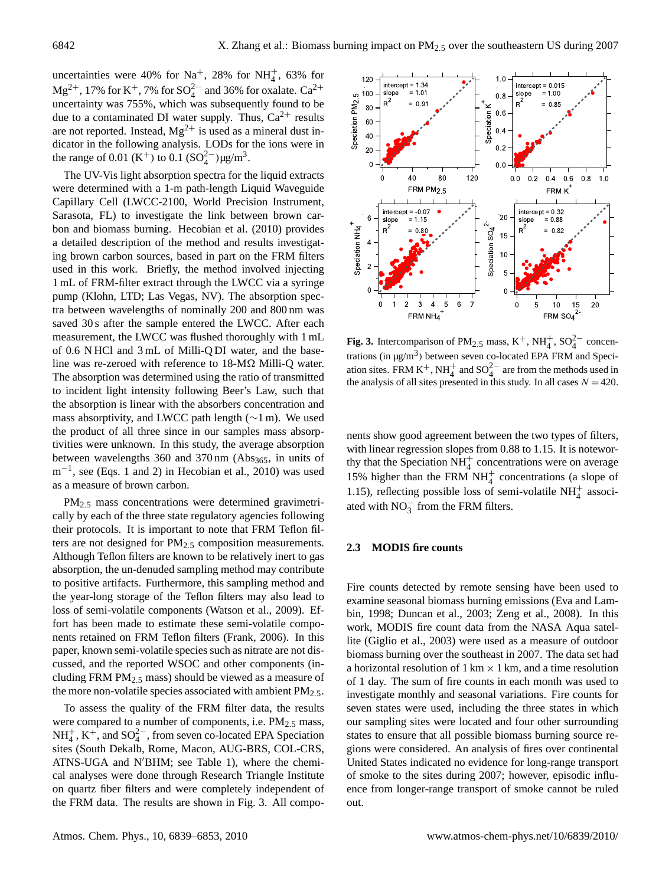uncertainties were 40% for Na<sup>+</sup>, 28% for NH<sup>+</sup><sub>4</sub>, 63% for Mg<sup>2+</sup>, 17% for K<sup>+</sup>, 7% for SO<sub>4</sub><sup>2-</sup> and 36% for oxalate. Ca<sup>2+</sup> uncertainty was 755%, which was subsequently found to be due to a contaminated DI water supply. Thus,  $Ca^{2+}$  results are not reported. Instead,  $Mg^{2+}$  is used as a mineral dust indicator in the following analysis. LODs for the ions were in the range of 0.01 (K<sup>+</sup>) to 0.1 (SO<sub>4</sub><sup>2-</sup>) $\mu$ g/m<sup>3</sup>.

The UV-Vis light absorption spectra for the liquid extracts were determined with a 1-m path-length Liquid Waveguide Capillary Cell (LWCC-2100, World Precision Instrument, Sarasota, FL) to investigate the link between brown carbon and biomass burning. Hecobian et al. (2010) provides a detailed description of the method and results investigating brown carbon sources, based in part on the FRM filters used in this work. Briefly, the method involved injecting 1 mL of FRM-filter extract through the LWCC via a syringe pump (Klohn, LTD; Las Vegas, NV). The absorption spectra between wavelengths of nominally 200 and 800 nm was saved 30 s after the sample entered the LWCC. After each measurement, the LWCC was flushed thoroughly with 1 mL of 0.6 N HCl and 3 mL of Milli-Q DI water, and the baseline was re-zeroed with reference to  $18-M\Omega$  Milli-Q water. The absorption was determined using the ratio of transmitted to incident light intensity following Beer's Law, such that the absorption is linear with the absorbers concentration and mass absorptivity, and LWCC path length (∼1 m). We used the product of all three since in our samples mass absorptivities were unknown. In this study, the average absorption between wavelengths  $360$  and  $370 \text{ nm}$  (Abs<sub>365</sub>, in units of m<sup>-1</sup>, see (Eqs. 1 and 2) in Hecobian et al., 2010) was used as a measure of brown carbon.

PM2.<sup>5</sup> mass concentrations were determined gravimetrically by each of the three state regulatory agencies following their protocols. It is important to note that FRM Teflon filters are not designed for PM<sub>2.5</sub> composition measurements. Although Teflon filters are known to be relatively inert to gas absorption, the un-denuded sampling method may contribute to positive artifacts. Furthermore, this sampling method and the year-long storage of the Teflon filters may also lead to loss of semi-volatile components (Watson et al., 2009). Effort has been made to estimate these semi-volatile components retained on FRM Teflon filters (Frank, 2006). In this paper, known semi-volatile species such as nitrate are not discussed, and the reported WSOC and other components (including FRM PM<sub>2.5</sub> mass) should be viewed as a measure of the more non-volatile species associated with ambient  $PM_{2.5}$ .

To assess the quality of the FRM filter data, the results were compared to a number of components, i.e. PM<sub>2.5</sub> mass,  $NH_4^+$ ,  $K^+$ , and  $SO_4^{2-}$ , from seven co-located EPA Speciation sites (South Dekalb, Rome, Macon, AUG-BRS, COL-CRS, ATNS-UGA and N'BHM; see Table 1), where the chemical analyses were done through Research Triangle Institute on quartz fiber filters and were completely independent of the FRM data. The results are shown in Fig. 3. All compo-



**Fig. 3.** Intercomparison of  $PM_{2.5}$  mass,  $K^+$ ,  $NH_4^+$ ,  $SO_4^{2-}$  concentrations (in  $\mu$ g/m<sup>3</sup>) between seven co-located EPA FRM and Speciation sites. FRM K<sup>+</sup>, NH<sub>4</sub><sup>+</sup> and SO<sub>4</sub><sup>2-</sup> are from the methods used in the analysis of all sites presented in this study. In all cases  $N = 420$ .

nents show good agreement between the two types of filters, with linear regression slopes from 0.88 to 1.15. It is noteworthy that the Speciation  $NH<sub>4</sub><sup>+</sup>$  concentrations were on average 15% higher than the FRM  $NH<sub>4</sub><sup>+</sup>$  concentrations (a slope of 1.15), reflecting possible loss of semi-volatile  $NH<sub>4</sub><sup>+</sup>$  associated with  $NO_3^-$  from the FRM filters.

### **2.3 MODIS fire counts**

Fire counts detected by remote sensing have been used to examine seasonal biomass burning emissions (Eva and Lambin, 1998; Duncan et al., 2003; Zeng et al., 2008). In this work, MODIS fire count data from the NASA Aqua satellite (Giglio et al., 2003) were used as a measure of outdoor biomass burning over the southeast in 2007. The data set had a horizontal resolution of  $1 \text{ km} \times 1 \text{ km}$ , and a time resolution of 1 day. The sum of fire counts in each month was used to investigate monthly and seasonal variations. Fire counts for seven states were used, including the three states in which our sampling sites were located and four other surrounding states to ensure that all possible biomass burning source regions were considered. An analysis of fires over continental United States indicated no evidence for long-range transport of smoke to the sites during 2007; however, episodic influence from longer-range transport of smoke cannot be ruled out.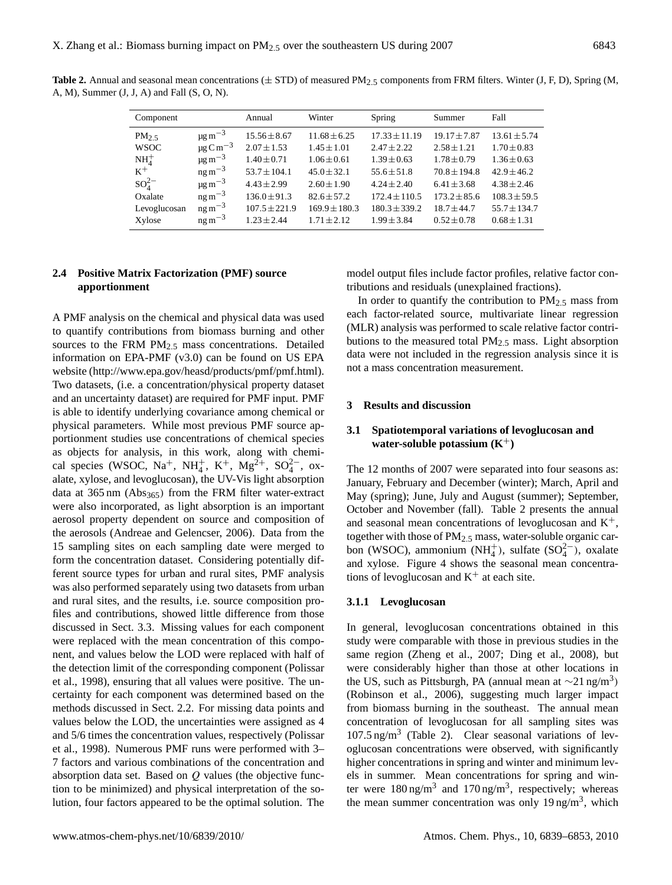**Table 2.** Annual and seasonal mean concentrations  $(\pm STD)$  of measured PM<sub>2.5</sub> components from FRM filters. Winter (J, F, D), Spring (M, A, M), Summer (J, J, A) and Fall (S, O, N).

| Component    |                                      | Annual            | Winter            | Spring            | Summer           | Fall             |
|--------------|--------------------------------------|-------------------|-------------------|-------------------|------------------|------------------|
| PM $2.5$     | $\mu$ g m <sup><math>-3</math></sup> | $15.56 \pm 8.67$  | $11.68 \pm 6.25$  | $17.33 \pm 11.19$ | $19.17 \pm 7.87$ | $13.61 \pm 5.74$ |
| <b>WSOC</b>  | $\mu$ g C m <sup>-3</sup>            | $2.07 \pm 1.53$   | $1.45 \pm 1.01$   | $2.47 + 2.22$     | $2.58 \pm 1.21$  | $1.70 \pm 0.83$  |
| $NH4+$       | $\mu$ g m $^{-3}$                    | $1.40 \pm 0.71$   | $1.06 \pm 0.61$   | $1.39 \pm 0.63$   | $1.78 \pm 0.79$  | $1.36 \pm 0.63$  |
| $K^+$        | $ng\,m^{-3}$                         | $53.7 \pm 104.1$  | $45.0 \pm 32.1$   | $55.6 \pm 51.8$   | $70.8 \pm 194.8$ | $42.9 \pm 46.2$  |
| $SO_4^{2-}$  | $\mu$ g m $^{-3}$                    | $4.43 \pm 2.99$   | $2.60 \pm 1.90$   | $4.24 \pm 2.40$   | $6.41 \pm 3.68$  | $4.38 + 2.46$    |
| Oxalate      | $ng\,m^{-3}$                         | $136.0 \pm 91.3$  | $82.6 \pm 57.2$   | $172.4 \pm 110.5$ | $173.2 \pm 85.6$ | $108.3 \pm 59.5$ |
| Levoglucosan | $ng\,m^{-3}$                         | $107.5 \pm 221.9$ | $169.9 \pm 180.3$ | $180.3 \pm 339.2$ | $18.7 + 44.7$    | $55.7 \pm 134.7$ |
| Xylose       | $ng\,m^{-3}$                         | $1.23 + 2.44$     | $1.71 \pm 2.12$   | $1.99 \pm 3.84$   | $0.52 \pm 0.78$  | $0.68 \pm 1.31$  |

## **2.4 Positive Matrix Factorization (PMF) source apportionment**

A PMF analysis on the chemical and physical data was used to quantify contributions from biomass burning and other sources to the FRM  $PM<sub>2.5</sub>$  mass concentrations. Detailed information on EPA-PMF (v3.0) can be found on US EPA website [\(http://www.epa.gov/heasd/products/pmf/pmf.html\)](http://www.epa.gov/heasd/products/pmf/pmf.html). Two datasets, (i.e. a concentration/physical property dataset and an uncertainty dataset) are required for PMF input. PMF is able to identify underlying covariance among chemical or physical parameters. While most previous PMF source apportionment studies use concentrations of chemical species as objects for analysis, in this work, along with chemical species (WSOC, Na<sup>+</sup>, NH<sub>4</sub><sup>+</sup>, K<sup>+</sup>, Mg<sup>2+</sup>, SO<sub>4</sub><sup>2</sup>-, oxalate, xylose, and levoglucosan), the UV-Vis light absorption data at  $365 \text{ nm}$  (Abs<sub>365</sub>) from the FRM filter water-extract were also incorporated, as light absorption is an important aerosol property dependent on source and composition of the aerosols (Andreae and Gelencser, 2006). Data from the 15 sampling sites on each sampling date were merged to form the concentration dataset. Considering potentially different source types for urban and rural sites, PMF analysis was also performed separately using two datasets from urban and rural sites, and the results, i.e. source composition profiles and contributions, showed little difference from those discussed in Sect. 3.3. Missing values for each component were replaced with the mean concentration of this component, and values below the LOD were replaced with half of the detection limit of the corresponding component (Polissar et al., 1998), ensuring that all values were positive. The uncertainty for each component was determined based on the methods discussed in Sect. 2.2. For missing data points and values below the LOD, the uncertainties were assigned as 4 and 5/6 times the concentration values, respectively (Polissar et al., 1998). Numerous PMF runs were performed with 3– 7 factors and various combinations of the concentration and absorption data set. Based on Q values (the objective function to be minimized) and physical interpretation of the solution, four factors appeared to be the optimal solution. The model output files include factor profiles, relative factor contributions and residuals (unexplained fractions).

In order to quantify the contribution to  $PM_{2.5}$  mass from each factor-related source, multivariate linear regression (MLR) analysis was performed to scale relative factor contributions to the measured total  $PM_{2.5}$  mass. Light absorption data were not included in the regression analysis since it is not a mass concentration measurement.

## **3 Results and discussion**

## **3.1 Spatiotemporal variations of levoglucosan and water-soluble potassium (K**+**)**

The 12 months of 2007 were separated into four seasons as: January, February and December (winter); March, April and May (spring); June, July and August (summer); September, October and November (fall). Table 2 presents the annual and seasonal mean concentrations of levoglucosan and  $K^+$ , together with those of PM<sub>2.5</sub> mass, water-soluble organic carbon (WSOC), ammonium (NH<sup>+</sup><sub>4</sub>), sulfate (SO<sup>2</sup><sup>-</sup>), oxalate and xylose. Figure 4 shows the seasonal mean concentrations of levoglucosan and  $K^+$  at each site.

## **3.1.1 Levoglucosan**

In general, levoglucosan concentrations obtained in this study were comparable with those in previous studies in the same region (Zheng et al., 2007; Ding et al., 2008), but were considerably higher than those at other locations in the US, such as Pittsburgh, PA (annual mean at  $\sim$ 21 ng/m<sup>3</sup>) (Robinson et al., 2006), suggesting much larger impact from biomass burning in the southeast. The annual mean concentration of levoglucosan for all sampling sites was 107.5 ng/m<sup>3</sup> (Table 2). Clear seasonal variations of levoglucosan concentrations were observed, with significantly higher concentrations in spring and winter and minimum levels in summer. Mean concentrations for spring and winter were  $180 \text{ ng/m}^3$  and  $170 \text{ ng/m}^3$ , respectively; whereas the mean summer concentration was only 19 ng/m<sup>3</sup>, which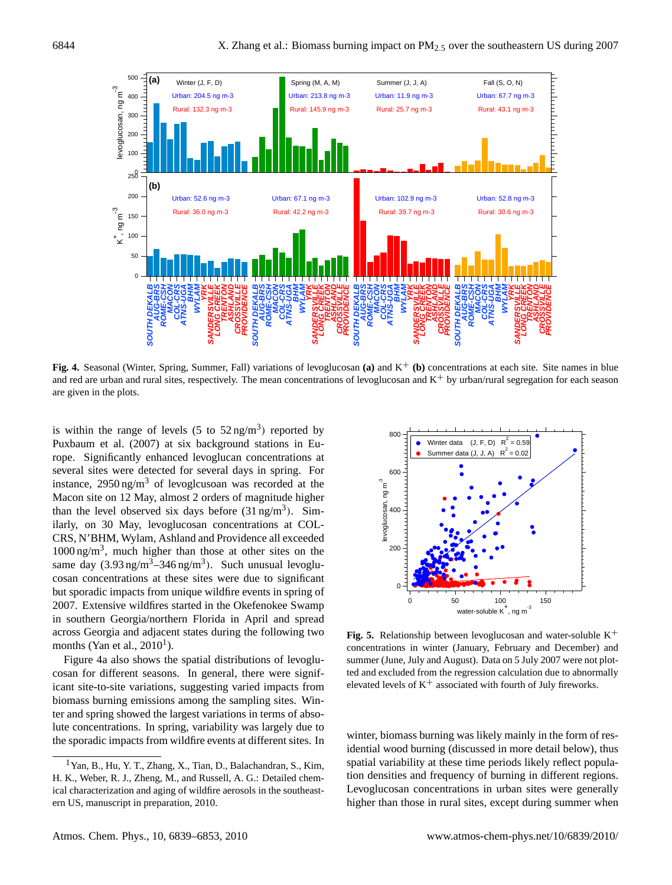

**Fig. 4.** Seasonal (Winter, Spring, Summer, Fall) variations of levoglucosan **(a)** and K<sup>+</sup> **(b)** concentrations at each site. Site names in blue and red are urban and rural sites, respectively. The mean concentrations of levoglucosan and  $K^+$  by urban/rural segregation for each season are given in the plots.

is within the range of levels (5 to  $52 \text{ ng/m}^3$ ) reported by Puxbaum et al. (2007) at six background stations in Europe. Significantly enhanced levoglucan concentrations at several sites were detected for several days in spring. For instance,  $2950 \text{ ng/m}^3$  of levoglcusoan was recorded at the Macon site on 12 May, almost 2 orders of magnitude higher than the level observed six days before  $(31 \text{ ng/m}^3)$ . Similarly, on 30 May, levoglucosan concentrations at COL-CRS, N'BHM, Wylam, Ashland and Providence all exceeded 1000 ng/m<sup>3</sup> , much higher than those at other sites on the same day  $(3.93 \text{ ng/m}^3 - 346 \text{ ng/m}^3)$ . Such unusual levoglucosan concentrations at these sites were due to significant but sporadic impacts from unique wildfire events in spring of 2007. Extensive wildfires started in the Okefenokee Swamp in southern Georgia/northern Florida in April and spread across Georgia and adjacent states during the following two months (Yan et al.,  $2010<sup>1</sup>$  $2010<sup>1</sup>$  $2010<sup>1</sup>$ ).

Figure 4a also shows the spatial distributions of levoglucosan for different seasons. In general, there were significant site-to-site variations, suggesting varied impacts from biomass burning emissions among the sampling sites. Winter and spring showed the largest variations in terms of absolute concentrations. In spring, variability was largely due to the sporadic impacts from wildfire events at different sites. In



**Fig. 5.** Relationship between levoglucosan and water-soluble K<sup>+</sup> concentrations in winter (January, February and December) and summer (June, July and August). Data on 5 July 2007 were not plotted and excluded from the regression calculation due to abnormally elevated levels of  $K^+$  associated with fourth of July fireworks.

winter, biomass burning was likely mainly in the form of residential wood burning (discussed in more detail below), thus spatial variability at these time periods likely reflect population densities and frequency of burning in different regions. Levoglucosan concentrations in urban sites were generally higher than those in rural sites, except during summer when

<span id="page-5-0"></span><sup>1</sup>Yan, B., Hu, Y. T., Zhang, X., Tian, D., Balachandran, S., Kim, H. K., Weber, R. J., Zheng, M., and Russell, A. G.: Detailed chemical characterization and aging of wildfire aerosols in the southeastern US, manuscript in preparation, 2010.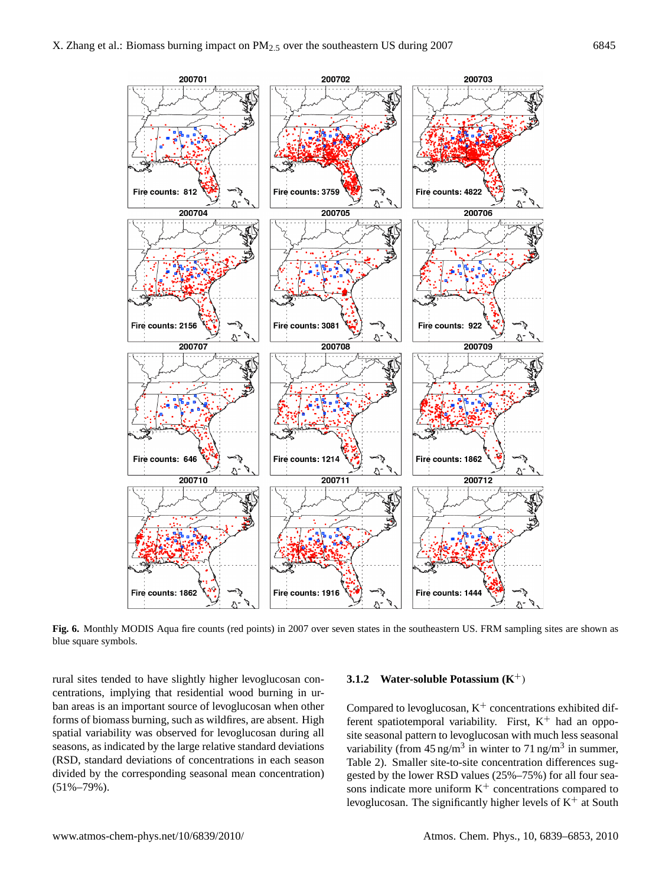

**Fig. 6.** Monthly MODIS Aqua fire counts (red points) in 2007 over seven states in the southeastern US. FRM sampling sites are shown as blue square symbols.

rural sites tended to have slightly higher levoglucosan concentrations, implying that residential wood burning in urban areas is an important source of levoglucosan when other forms of biomass burning, such as wildfires, are absent. High spatial variability was observed for levoglucosan during all seasons, as indicated by the large relative standard deviations (RSD, standard deviations of concentrations in each season divided by the corresponding seasonal mean concentration) (51%–79%).

#### **3.1.2 Water-soluble Potassium (K**+)

Compared to levoglucosan,  $K^+$  concentrations exhibited different spatiotemporal variability. First,  $K^+$  had an opposite seasonal pattern to levoglucosan with much less seasonal variability (from  $45 \text{ ng/m}^3$  in winter to  $71 \text{ ng/m}^3$  in summer, Table 2). Smaller site-to-site concentration differences suggested by the lower RSD values (25%–75%) for all four seasons indicate more uniform  $K^+$  concentrations compared to levoglucosan. The significantly higher levels of  $K^+$  at South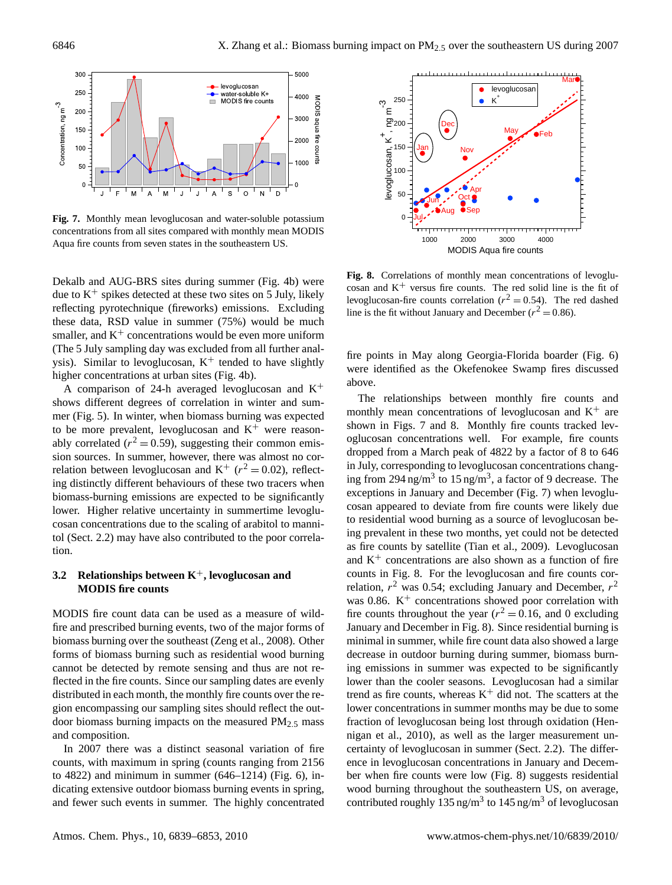

**Fig. 7.** Monthly mean levoglucosan and water-soluble potassium concentrations from all sites compared with monthly mean MODIS Aqua fire counts from seven states in the southeastern US.

Dekalb and AUG-BRS sites during summer (Fig. 4b) were due to  $K^+$  spikes detected at these two sites on 5 July, likely reflecting pyrotechnique (fireworks) emissions. Excluding these data, RSD value in summer (75%) would be much smaller, and  $K^+$  concentrations would be even more uniform (The 5 July sampling day was excluded from all further analysis). Similar to levoglucosan,  $K^+$  tended to have slightly higher concentrations at urban sites (Fig. 4b).

A comparison of 24-h averaged levoglucosan and  $K^+$ shows different degrees of correlation in winter and summer (Fig. 5). In winter, when biomass burning was expected to be more prevalent, levoglucosan and  $K^+$  were reasonably correlated ( $r^2 = 0.59$ ), suggesting their common emission sources. In summer, however, there was almost no correlation between levoglucosan and  $K^+$  ( $r^2 = 0.02$ ), reflecting distinctly different behaviours of these two tracers when biomass-burning emissions are expected to be significantly lower. Higher relative uncertainty in summertime levoglucosan concentrations due to the scaling of arabitol to mannitol (Sect. 2.2) may have also contributed to the poor correlation.

## **3.2 Relationships between K**+**, levoglucosan and MODIS fire counts**

MODIS fire count data can be used as a measure of wildfire and prescribed burning events, two of the major forms of biomass burning over the southeast (Zeng et al., 2008). Other forms of biomass burning such as residential wood burning cannot be detected by remote sensing and thus are not reflected in the fire counts. Since our sampling dates are evenly distributed in each month, the monthly fire counts over the region encompassing our sampling sites should reflect the outdoor biomass burning impacts on the measured PM<sub>2.5</sub> mass and composition.

In 2007 there was a distinct seasonal variation of fire counts, with maximum in spring (counts ranging from 2156 to 4822) and minimum in summer (646–1214) (Fig. 6), indicating extensive outdoor biomass burning events in spring, and fewer such events in summer. The highly concentrated



**Fig. 8.** Correlations of monthly mean concentrations of levoglucosan and  $K^+$  versus fire counts. The red solid line is the fit of levoglucosan-fire counts correlation ( $r^2 = 0.54$ ). The red dashed line is the fit without January and December ( $r^2 = 0.86$ ).

fire points in May along Georgia-Florida boarder (Fig. 6) were identified as the Okefenokee Swamp fires discussed above.

The relationships between monthly fire counts and monthly mean concentrations of levoglucosan and  $K^+$  are shown in Figs. 7 and 8. Monthly fire counts tracked levoglucosan concentrations well. For example, fire counts dropped from a March peak of 4822 by a factor of 8 to 646 in July, corresponding to levoglucosan concentrations changing from 294 ng/m<sup>3</sup> to 15 ng/m<sup>3</sup>, a factor of 9 decrease. The exceptions in January and December (Fig. 7) when levoglucosan appeared to deviate from fire counts were likely due to residential wood burning as a source of levoglucosan being prevalent in these two months, yet could not be detected as fire counts by satellite (Tian et al., 2009). Levoglucosan and  $K<sup>+</sup>$  concentrations are also shown as a function of fire counts in Fig. 8. For the levoglucosan and fire counts correlation,  $r^2$  was 0.54; excluding January and December,  $r^2$ was 0.86.  $K^+$  concentrations showed poor correlation with fire counts throughout the year ( $r^2 = 0.16$ , and 0 excluding January and December in Fig. 8). Since residential burning is minimal in summer, while fire count data also showed a large decrease in outdoor burning during summer, biomass burning emissions in summer was expected to be significantly lower than the cooler seasons. Levoglucosan had a similar trend as fire counts, whereas  $K^+$  did not. The scatters at the lower concentrations in summer months may be due to some fraction of levoglucosan being lost through oxidation (Hennigan et al., 2010), as well as the larger measurement uncertainty of levoglucosan in summer (Sect. 2.2). The difference in levoglucosan concentrations in January and December when fire counts were low (Fig. 8) suggests residential wood burning throughout the southeastern US, on average, contributed roughly 135 ng/m<sup>3</sup> to 145 ng/m<sup>3</sup> of levoglucosan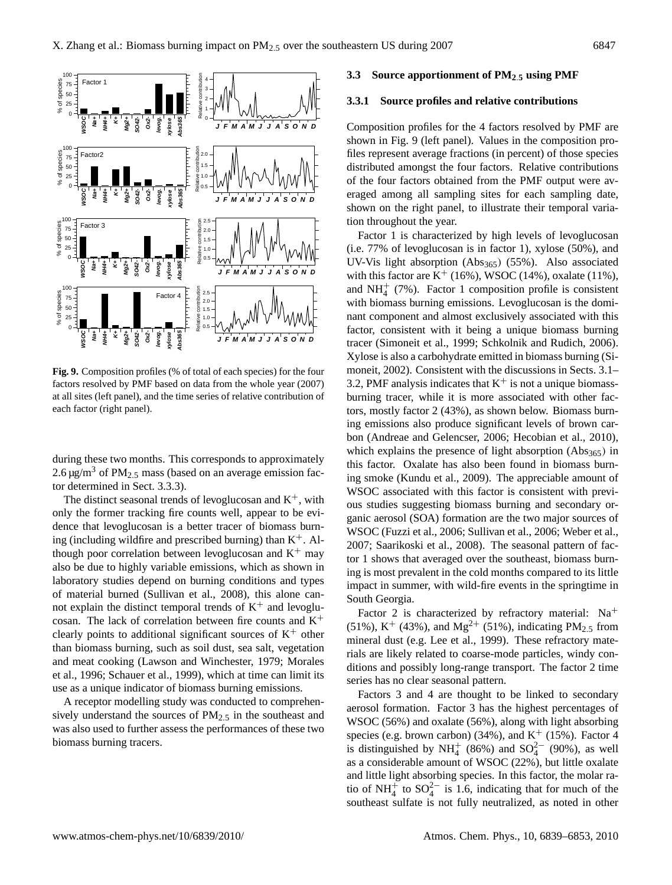

**Fig. 9.** Composition profiles (% of total of each species) for the four factors resolved by PMF based on data from the whole year (2007) at all sites (left panel), and the time series of relative contribution of each factor (right panel).

during these two months. This corresponds to approximately 2.6  $\mu$ g/m<sup>3</sup> of PM<sub>2.5</sub> mass (based on an average emission factor determined in Sect. 3.3.3).

The distinct seasonal trends of levoglucosan and  $K^+$ , with only the former tracking fire counts well, appear to be evidence that levoglucosan is a better tracer of biomass burning (including wildfire and prescribed burning) than  $K^+$ . Although poor correlation between levoglucosan and  $K^+$  may also be due to highly variable emissions, which as shown in laboratory studies depend on burning conditions and types of material burned (Sullivan et al., 2008), this alone cannot explain the distinct temporal trends of  $K^+$  and levoglucosan. The lack of correlation between fire counts and  $K^+$ clearly points to additional significant sources of  $K^+$  other than biomass burning, such as soil dust, sea salt, vegetation and meat cooking (Lawson and Winchester, 1979; Morales et al., 1996; Schauer et al., 1999), which at time can limit its use as a unique indicator of biomass burning emissions.

A receptor modelling study was conducted to comprehensively understand the sources of  $PM<sub>2.5</sub>$  in the southeast and was also used to further assess the performances of these two biomass burning tracers.

#### **3.3 Source apportionment of PM2**.**<sup>5</sup> using PMF**

#### **3.3.1 Source profiles and relative contributions**

Composition profiles for the 4 factors resolved by PMF are shown in Fig. 9 (left panel). Values in the composition profiles represent average fractions (in percent) of those species distributed amongst the four factors. Relative contributions of the four factors obtained from the PMF output were averaged among all sampling sites for each sampling date, shown on the right panel, to illustrate their temporal variation throughout the year.

Factor 1 is characterized by high levels of levoglucosan (i.e. 77% of levoglucosan is in factor 1), xylose (50%), and UV-Vis light absorption  $(Abs_{365})$   $(55%)$ . Also associated with this factor are  $K^+$  (16%), WSOC (14%), oxalate (11%), and NH $<sub>4</sub><sup>+</sup>$  (7%). Factor 1 composition profile is consistent</sub> with biomass burning emissions. Levoglucosan is the dominant component and almost exclusively associated with this factor, consistent with it being a unique biomass burning tracer (Simoneit et al., 1999; Schkolnik and Rudich, 2006). Xylose is also a carbohydrate emitted in biomass burning (Simoneit, 2002). Consistent with the discussions in Sects. 3.1– 3.2, PMF analysis indicates that  $K^+$  is not a unique biomassburning tracer, while it is more associated with other factors, mostly factor 2 (43%), as shown below. Biomass burning emissions also produce significant levels of brown carbon (Andreae and Gelencser, 2006; Hecobian et al., 2010), which explains the presence of light absorption  $(Abs_{365})$  in this factor. Oxalate has also been found in biomass burning smoke (Kundu et al., 2009). The appreciable amount of WSOC associated with this factor is consistent with previous studies suggesting biomass burning and secondary organic aerosol (SOA) formation are the two major sources of WSOC (Fuzzi et al., 2006; Sullivan et al., 2006; Weber et al., 2007; Saarikoski et al., 2008). The seasonal pattern of factor 1 shows that averaged over the southeast, biomass burning is most prevalent in the cold months compared to its little impact in summer, with wild-fire events in the springtime in South Georgia.

Factor 2 is characterized by refractory material:  $Na<sup>+</sup>$ (51%),  $K^+$  (43%), and Mg<sup>2+</sup> (51%), indicating PM<sub>2.5</sub> from mineral dust (e.g. Lee et al., 1999). These refractory materials are likely related to coarse-mode particles, windy conditions and possibly long-range transport. The factor 2 time series has no clear seasonal pattern.

Factors 3 and 4 are thought to be linked to secondary aerosol formation. Factor 3 has the highest percentages of WSOC (56%) and oxalate (56%), along with light absorbing species (e.g. brown carbon) (34%), and  $K^+$  (15%). Factor 4 is distinguished by NH<sup>+</sup> (86%) and SO<sup>2</sup><sup>-</sup> (90%), as well as a considerable amount of WSOC (22%), but little oxalate and little light absorbing species. In this factor, the molar ratio of NH<sup> $+$ </sup> to SO<sub>4</sub><sup>2</sup> is 1.6, indicating that for much of the southeast sulfate is not fully neutralized, as noted in other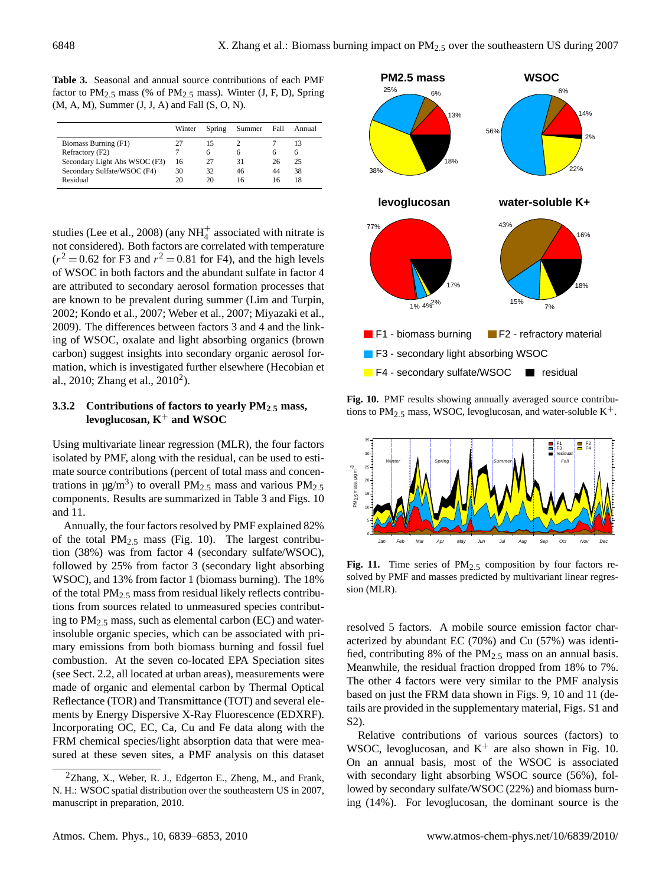**Table 3.** Seasonal and annual source contributions of each PMF factor to  $PM_{2.5}$  mass (% of  $PM_{2.5}$  mass). Winter (J, F, D), Spring (M, A, M), Summer (J, J, A) and Fall (S, O, N).

|                               | Winter | Spring       | Summer | Fall         | Annual       |
|-------------------------------|--------|--------------|--------|--------------|--------------|
| Biomass Burning (F1)          |        | 15           |        |              |              |
| Refractory (F2)               |        | <sub>t</sub> | h      | <sub>(</sub> | <sub>0</sub> |
| Secondary Light Abs WSOC (F3) | 16     | 27           | 31     | 26           | 25           |
| Secondary Sulfate/WSOC (F4)   | 30     | 32           | 46     | 44           | 38           |
| Residual                      | 20     | 20           | 16     | 16           | 18           |
|                               |        |              |        |              |              |

studies (Lee et al., 2008) (any  $NH_4^+$  associated with nitrate is not considered). Both factors are correlated with temperature  $(r^2 = 0.62$  for F3 and  $r^2 = 0.81$  for F4), and the high levels of WSOC in both factors and the abundant sulfate in factor 4 are attributed to secondary aerosol formation processes that are known to be prevalent during summer (Lim and Turpin, 2002; Kondo et al., 2007; Weber et al., 2007; Miyazaki et al., 2009). The differences between factors 3 and 4 and the linking of WSOC, oxalate and light absorbing organics (brown carbon) suggest insights into secondary organic aerosol formation, which is investigated further elsewhere (Hecobian et al., [2](#page-9-0)010; Zhang et al.,  $2010^2$ ).

## **3.3.2 Contributions of factors to yearly PM2**.**<sup>5</sup> mass, levoglucosan, K**<sup>+</sup> **and WSOC**

Using multivariate linear regression (MLR), the four factors isolated by PMF, along with the residual, can be used to estimate source contributions (percent of total mass and concentrations in  $\mu$ g/m<sup>3</sup>) to overall PM<sub>2.5</sub> mass and various PM<sub>2.5</sub> components. Results are summarized in Table 3 and Figs. 10 and 11.

Annually, the four factors resolved by PMF explained 82% of the total  $PM_{2.5}$  mass (Fig. 10). The largest contribution (38%) was from factor 4 (secondary sulfate/WSOC), followed by 25% from factor 3 (secondary light absorbing WSOC), and 13% from factor 1 (biomass burning). The 18% of the total  $PM_{2.5}$  mass from residual likely reflects contributions from sources related to unmeasured species contributing to PM2.<sup>5</sup> mass, such as elemental carbon (EC) and waterinsoluble organic species, which can be associated with primary emissions from both biomass burning and fossil fuel combustion. At the seven co-located EPA Speciation sites (see Sect. 2.2, all located at urban areas), measurements were made of organic and elemental carbon by Thermal Optical Reflectance (TOR) and Transmittance (TOT) and several elements by Energy Dispersive X-Ray Fluorescence (EDXRF). Incorporating OC, EC, Ca, Cu and Fe data along with the FRM chemical species/light absorption data that were measured at these seven sites, a PMF analysis on this dataset



**Fig. 10.** PMF results showing annually averaged source contributions to  $PM_{2.5}$  mass, WSOC, levoglucosan, and water-soluble  $K^+$ .



**Fig. 11.** Time series of  $PM_{2.5}$  composition by four factors resolved by PMF and masses predicted by multivariant linear regression (MLR).

resolved 5 factors. A mobile source emission factor characterized by abundant EC (70%) and Cu (57%) was identified, contributing 8% of the  $PM_{2.5}$  mass on an annual basis. Meanwhile, the residual fraction dropped from 18% to 7%. The other 4 factors were very similar to the PMF analysis based on just the FRM data shown in Figs. 9, 10 and 11 (details are provided in the supplementary material, Figs. S1 and S2).

Relative contributions of various sources (factors) to WSOC, levoglucosan, and  $K^+$  are also shown in Fig. 10. On an annual basis, most of the WSOC is associated with secondary light absorbing WSOC source (56%), followed by secondary sulfate/WSOC (22%) and biomass burning (14%). For levoglucosan, the dominant source is the

<span id="page-9-0"></span><sup>&</sup>lt;sup>2</sup>Zhang, X., Weber, R. J., Edgerton E., Zheng, M., and Frank, N. H.: WSOC spatial distribution over the southeastern US in 2007, manuscript in preparation, 2010.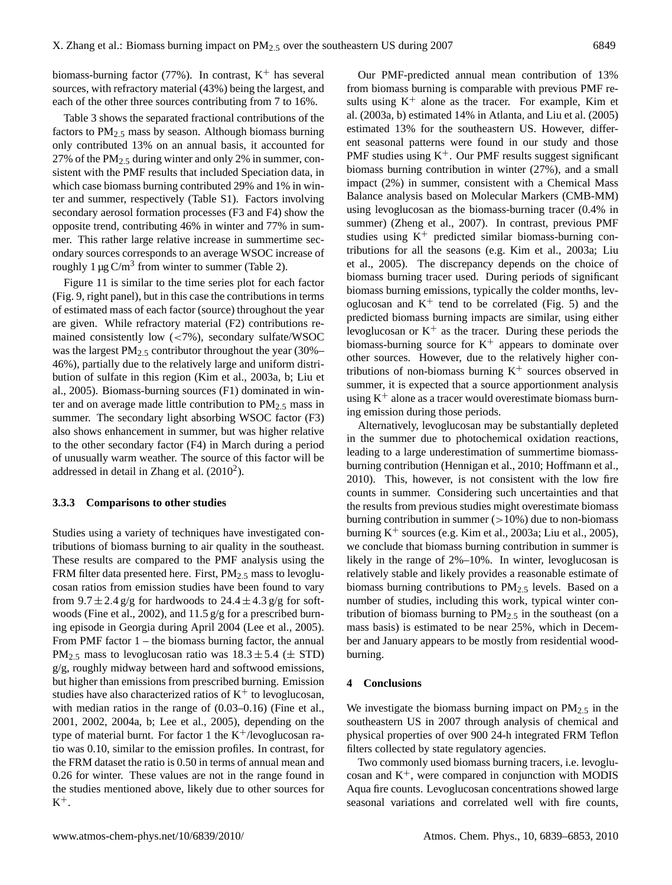biomass-burning factor (77%). In contrast,  $K^+$  has several sources, with refractory material (43%) being the largest, and each of the other three sources contributing from 7 to 16%.

Table 3 shows the separated fractional contributions of the factors to  $PM_{2.5}$  mass by season. Although biomass burning only contributed 13% on an annual basis, it accounted for 27% of the PM<sub>2.5</sub> during winter and only 2% in summer, consistent with the PMF results that included Speciation data, in which case biomass burning contributed 29% and 1% in winter and summer, respectively (Table S1). Factors involving secondary aerosol formation processes (F3 and F4) show the opposite trend, contributing 46% in winter and 77% in summer. This rather large relative increase in summertime secondary sources corresponds to an average WSOC increase of roughly  $1 \mu$ g C/m<sup>3</sup> from winter to summer (Table 2).

Figure 11 is similar to the time series plot for each factor (Fig. 9, right panel), but in this case the contributions in terms of estimated mass of each factor (source) throughout the year are given. While refractory material (F2) contributions remained consistently low (<7%), secondary sulfate/WSOC was the largest  $PM_{2.5}$  contributor throughout the year (30%– 46%), partially due to the relatively large and uniform distribution of sulfate in this region (Kim et al., 2003a, b; Liu et al., 2005). Biomass-burning sources (F1) dominated in winter and on average made little contribution to  $PM_{2.5}$  mass in summer. The secondary light absorbing WSOC factor (F3) also shows enhancement in summer, but was higher relative to the other secondary factor (F4) in March during a period of unusually warm weather. The source of this factor will be addressed in detail in Zhang et al.  $(2010^2)$ .

#### **3.3.3 Comparisons to other studies**

Studies using a variety of techniques have investigated contributions of biomass burning to air quality in the southeast. These results are compared to the PMF analysis using the FRM filter data presented here. First,  $PM_{2.5}$  mass to levoglucosan ratios from emission studies have been found to vary from  $9.7 \pm 2.4$  g/g for hardwoods to  $24.4 \pm 4.3$  g/g for softwoods (Fine et al., 2002), and 11.5 g/g for a prescribed burning episode in Georgia during April 2004 (Lee et al., 2005). From PMF factor  $1$  – the biomass burning factor, the annual PM<sub>2.5</sub> mass to levoglucosan ratio was  $18.3 \pm 5.4 \ (\pm \text{STD})$ g/g, roughly midway between hard and softwood emissions, but higher than emissions from prescribed burning. Emission studies have also characterized ratios of  $K^+$  to levoglucosan, with median ratios in the range of  $(0.03-0.16)$  (Fine et al., 2001, 2002, 2004a, b; Lee et al., 2005), depending on the type of material burnt. For factor 1 the  $K^+/levoglucosan$  ratio was 0.10, similar to the emission profiles. In contrast, for the FRM dataset the ratio is 0.50 in terms of annual mean and 0.26 for winter. These values are not in the range found in the studies mentioned above, likely due to other sources for  $K^+$ .

Our PMF-predicted annual mean contribution of 13% from biomass burning is comparable with previous PMF results using  $K^+$  alone as the tracer. For example, Kim et al. (2003a, b) estimated 14% in Atlanta, and Liu et al. (2005) estimated 13% for the southeastern US. However, different seasonal patterns were found in our study and those PMF studies using  $K^+$ . Our PMF results suggest significant biomass burning contribution in winter (27%), and a small impact (2%) in summer, consistent with a Chemical Mass Balance analysis based on Molecular Markers (CMB-MM) using levoglucosan as the biomass-burning tracer (0.4% in summer) (Zheng et al., 2007). In contrast, previous PMF studies using  $K^+$  predicted similar biomass-burning contributions for all the seasons (e.g. Kim et al., 2003a; Liu et al., 2005). The discrepancy depends on the choice of biomass burning tracer used. During periods of significant biomass burning emissions, typically the colder months, levoglucosan and  $K^+$  tend to be correlated (Fig. 5) and the predicted biomass burning impacts are similar, using either levoglucosan or  $K^+$  as the tracer. During these periods the biomass-burning source for  $K^+$  appears to dominate over other sources. However, due to the relatively higher contributions of non-biomass burning  $K^+$  sources observed in summer, it is expected that a source apportionment analysis using  $K^+$  alone as a tracer would overestimate biomass burning emission during those periods.

Alternatively, levoglucosan may be substantially depleted in the summer due to photochemical oxidation reactions, leading to a large underestimation of summertime biomassburning contribution (Hennigan et al., 2010; Hoffmann et al., 2010). This, however, is not consistent with the low fire counts in summer. Considering such uncertainties and that the results from previous studies might overestimate biomass burning contribution in summer  $(>10%)$  due to non-biomass burning  $K^+$  sources (e.g. Kim et al., 2003a; Liu et al., 2005), we conclude that biomass burning contribution in summer is likely in the range of 2%–10%. In winter, levoglucosan is relatively stable and likely provides a reasonable estimate of biomass burning contributions to  $PM_{2.5}$  levels. Based on a number of studies, including this work, typical winter contribution of biomass burning to  $PM_{2.5}$  in the southeast (on a mass basis) is estimated to be near 25%, which in December and January appears to be mostly from residential woodburning.

#### **4 Conclusions**

We investigate the biomass burning impact on  $PM_{2.5}$  in the southeastern US in 2007 through analysis of chemical and physical properties of over 900 24-h integrated FRM Teflon filters collected by state regulatory agencies.

Two commonly used biomass burning tracers, i.e. levoglucosan and  $K^+$ , were compared in conjunction with MODIS Aqua fire counts. Levoglucosan concentrations showed large seasonal variations and correlated well with fire counts,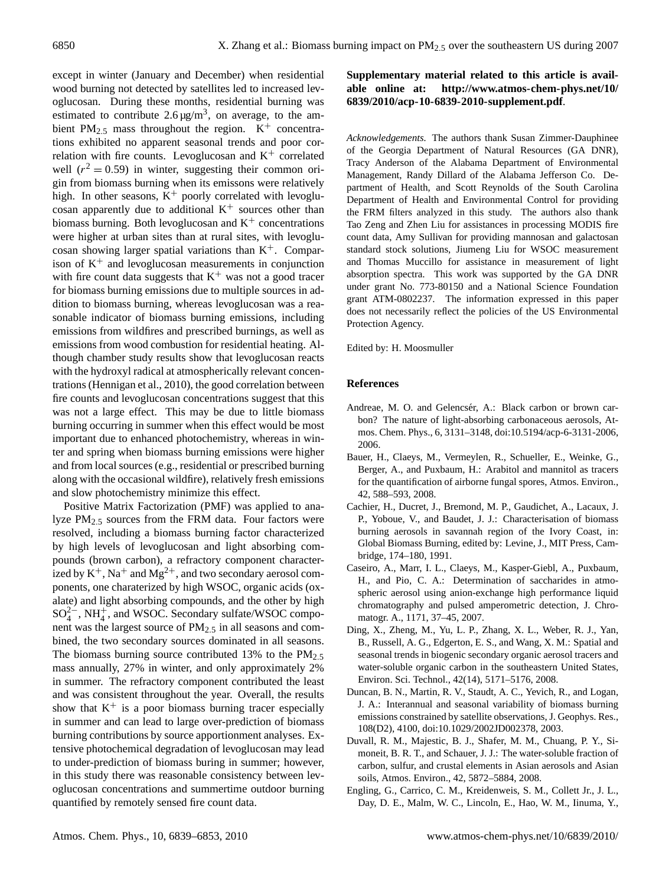except in winter (January and December) when residential wood burning not detected by satellites led to increased levoglucosan. During these months, residential burning was estimated to contribute  $2.6 \mu g/m^3$ , on average, to the ambient PM<sub>2.5</sub> mass throughout the region.  $K^+$  concentrations exhibited no apparent seasonal trends and poor correlation with fire counts. Levoglucosan and  $K^+$  correlated well  $(r^2 = 0.59)$  in winter, suggesting their common origin from biomass burning when its emissons were relatively high. In other seasons,  $K^+$  poorly correlated with levoglucosan apparently due to additional  $K^+$  sources other than biomass burning. Both levoglucosan and  $K^+$  concentrations were higher at urban sites than at rural sites, with levoglucosan showing larger spatial variations than  $K^+$ . Comparison of  $K<sup>+</sup>$  and levoglucosan measurements in conjunction with fire count data suggests that  $K^+$  was not a good tracer for biomass burning emissions due to multiple sources in addition to biomass burning, whereas levoglucosan was a reasonable indicator of biomass burning emissions, including emissions from wildfires and prescribed burnings, as well as emissions from wood combustion for residential heating. Although chamber study results show that levoglucosan reacts with the hydroxyl radical at atmospherically relevant concentrations (Hennigan et al., 2010), the good correlation between fire counts and levoglucosan concentrations suggest that this was not a large effect. This may be due to little biomass burning occurring in summer when this effect would be most important due to enhanced photochemistry, whereas in winter and spring when biomass burning emissions were higher and from local sources (e.g., residential or prescribed burning along with the occasional wildfire), relatively fresh emissions and slow photochemistry minimize this effect.

Positive Matrix Factorization (PMF) was applied to analyze PM2.<sup>5</sup> sources from the FRM data. Four factors were resolved, including a biomass burning factor characterized by high levels of levoglucosan and light absorbing compounds (brown carbon), a refractory component characterized by  $K^+$ , Na<sup>+</sup> and Mg<sup>2+</sup>, and two secondary aerosol components, one charaterized by high WSOC, organic acids (oxalate) and light absorbing compounds, and the other by high  $SO_4^{2-}$ , NH<sup>+</sup>, and WSOC. Secondary sulfate/WSOC component was the largest source of PM2.<sup>5</sup> in all seasons and combined, the two secondary sources dominated in all seasons. The biomass burning source contributed 13% to the  $PM_{2.5}$ mass annually, 27% in winter, and only approximately 2% in summer. The refractory component contributed the least and was consistent throughout the year. Overall, the results show that  $K^+$  is a poor biomass burning tracer especially in summer and can lead to large over-prediction of biomass burning contributions by source apportionment analyses. Extensive photochemical degradation of levoglucosan may lead to under-prediction of biomass buring in summer; however, in this study there was reasonable consistency between levoglucosan concentrations and summertime outdoor burning quantified by remotely sensed fire count data.

# **Supplementary material related to this article is available online at: [http://www.atmos-chem-phys.net/10/](http://www.atmos-chem-phys.net/10/6839/2010/acp-10-6839-2010-supplement.pdf) [6839/2010/acp-10-6839-2010-supplement.pdf](http://www.atmos-chem-phys.net/10/6839/2010/acp-10-6839-2010-supplement.pdf)**.

*Acknowledgements.* The authors thank Susan Zimmer-Dauphinee of the Georgia Department of Natural Resources (GA DNR), Tracy Anderson of the Alabama Department of Environmental Management, Randy Dillard of the Alabama Jefferson Co. Department of Health, and Scott Reynolds of the South Carolina Department of Health and Environmental Control for providing the FRM filters analyzed in this study. The authors also thank Tao Zeng and Zhen Liu for assistances in processing MODIS fire count data, Amy Sullivan for providing mannosan and galactosan standard stock solutions, Jiumeng Liu for WSOC measurement and Thomas Muccillo for assistance in measurement of light absorption spectra. This work was supported by the GA DNR under grant No. 773-80150 and a National Science Foundation grant ATM-0802237. The information expressed in this paper does not necessarily reflect the policies of the US Environmental Protection Agency.

Edited by: H. Moosmuller

## **References**

- Andreae, M. O. and Gelencsér, A.: Black carbon or brown carbon? The nature of light-absorbing carbonaceous aerosols, Atmos. Chem. Phys., 6, 3131–3148, doi:10.5194/acp-6-3131-2006, 2006.
- Bauer, H., Claeys, M., Vermeylen, R., Schueller, E., Weinke, G., Berger, A., and Puxbaum, H.: Arabitol and mannitol as tracers for the quantification of airborne fungal spores, Atmos. Environ., 42, 588–593, 2008.
- Cachier, H., Ducret, J., Bremond, M. P., Gaudichet, A., Lacaux, J. P., Yoboue, V., and Baudet, J. J.: Characterisation of biomass burning aerosols in savannah region of the Ivory Coast, in: Global Biomass Burning, edited by: Levine, J., MIT Press, Cambridge, 174–180, 1991.
- Caseiro, A., Marr, I. L., Claeys, M., Kasper-Giebl, A., Puxbaum, H., and Pio, C. A.: Determination of saccharides in atmospheric aerosol using anion-exchange high performance liquid chromatography and pulsed amperometric detection, J. Chromatogr. A., 1171, 37–45, 2007.
- Ding, X., Zheng, M., Yu, L. P., Zhang, X. L., Weber, R. J., Yan, B., Russell, A. G., Edgerton, E. S., and Wang, X. M.: Spatial and seasonal trends in biogenic secondary organic aerosol tracers and water-soluble organic carbon in the southeastern United States, Environ. Sci. Technol., 42(14), 5171–5176, 2008.
- Duncan, B. N., Martin, R. V., Staudt, A. C., Yevich, R., and Logan, J. A.: Interannual and seasonal variability of biomass burning emissions constrained by satellite observations, J. Geophys. Res., 108(D2), 4100, doi:10.1029/2002JD002378, 2003.
- Duvall, R. M., Majestic, B. J., Shafer, M. M., Chuang, P. Y., Simoneit, B. R. T., and Schauer, J. J.: The water-soluble fraction of carbon, sulfur, and crustal elements in Asian aerosols and Asian soils, Atmos. Environ., 42, 5872–5884, 2008.
- Engling, G., Carrico, C. M., Kreidenweis, S. M., Collett Jr., J. L., Day, D. E., Malm, W. C., Lincoln, E., Hao, W. M., Iinuma, Y.,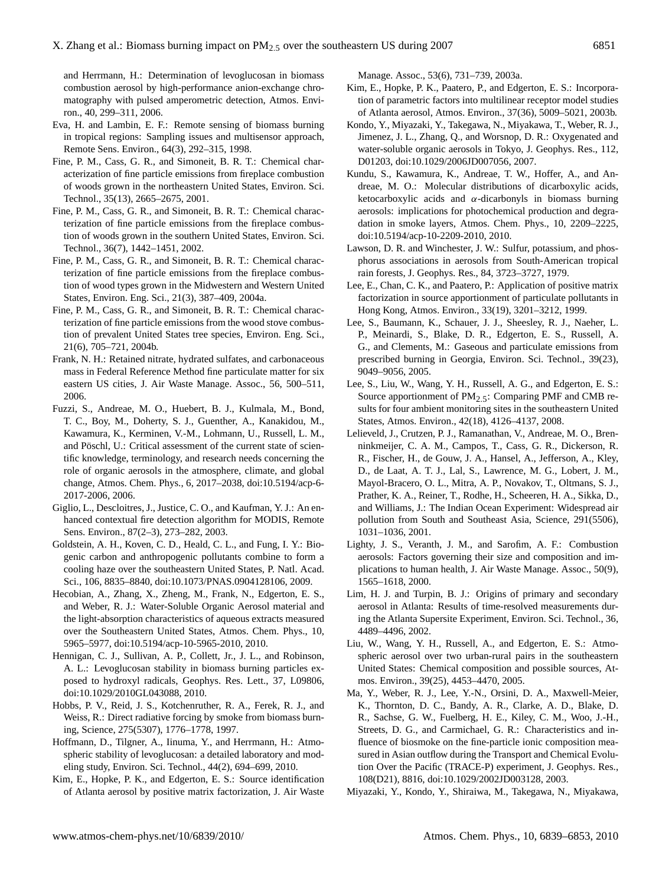and Herrmann, H.: Determination of levoglucosan in biomass combustion aerosol by high-performance anion-exchange chromatography with pulsed amperometric detection, Atmos. Environ., 40, 299–311, 2006.

- Eva, H. and Lambin, E. F.: Remote sensing of biomass burning in tropical regions: Sampling issues and multisensor approach, Remote Sens. Environ., 64(3), 292–315, 1998.
- Fine, P. M., Cass, G. R., and Simoneit, B. R. T.: Chemical characterization of fine particle emissions from fireplace combustion of woods grown in the northeastern United States, Environ. Sci. Technol., 35(13), 2665–2675, 2001.
- Fine, P. M., Cass, G. R., and Simoneit, B. R. T.: Chemical characterization of fine particle emissions from the fireplace combustion of woods grown in the southern United States, Environ. Sci. Technol., 36(7), 1442–1451, 2002.
- Fine, P. M., Cass, G. R., and Simoneit, B. R. T.: Chemical characterization of fine particle emissions from the fireplace combustion of wood types grown in the Midwestern and Western United States, Environ. Eng. Sci., 21(3), 387–409, 2004a.
- Fine, P. M., Cass, G. R., and Simoneit, B. R. T.: Chemical characterization of fine particle emissions from the wood stove combustion of prevalent United States tree species, Environ. Eng. Sci., 21(6), 705–721, 2004b.
- Frank, N. H.: Retained nitrate, hydrated sulfates, and carbonaceous mass in Federal Reference Method fine particulate matter for six eastern US cities, J. Air Waste Manage. Assoc., 56, 500–511, 2006.
- Fuzzi, S., Andreae, M. O., Huebert, B. J., Kulmala, M., Bond, T. C., Boy, M., Doherty, S. J., Guenther, A., Kanakidou, M., Kawamura, K., Kerminen, V.-M., Lohmann, U., Russell, L. M., and Pöschl, U.: Critical assessment of the current state of scientific knowledge, terminology, and research needs concerning the role of organic aerosols in the atmosphere, climate, and global change, Atmos. Chem. Phys., 6, 2017–2038, doi:10.5194/acp-6- 2017-2006, 2006.
- Giglio, L., Descloitres, J., Justice, C. O., and Kaufman, Y. J.: An enhanced contextual fire detection algorithm for MODIS, Remote Sens. Environ., 87(2–3), 273–282, 2003.
- Goldstein, A. H., Koven, C. D., Heald, C. L., and Fung, I. Y.: Biogenic carbon and anthropogenic pollutants combine to form a cooling haze over the southeastern United States, P. Natl. Acad. Sci., 106, 8835–8840, doi:10.1073/PNAS.0904128106, 2009.
- Hecobian, A., Zhang, X., Zheng, M., Frank, N., Edgerton, E. S., and Weber, R. J.: Water-Soluble Organic Aerosol material and the light-absorption characteristics of aqueous extracts measured over the Southeastern United States, Atmos. Chem. Phys., 10, 5965–5977, doi:10.5194/acp-10-5965-2010, 2010.
- Hennigan, C. J., Sullivan, A. P., Collett, Jr., J. L., and Robinson, A. L.: Levoglucosan stability in biomass burning particles exposed to hydroxyl radicals, Geophys. Res. Lett., 37, L09806, doi:10.1029/2010GL043088, 2010.
- Hobbs, P. V., Reid, J. S., Kotchenruther, R. A., Ferek, R. J., and Weiss, R.: Direct radiative forcing by smoke from biomass burning, Science, 275(5307), 1776–1778, 1997.
- Hoffmann, D., Tilgner, A., Iinuma, Y., and Herrmann, H.: Atmospheric stability of levoglucosan: a detailed laboratory and modeling study, Environ. Sci. Technol., 44(2), 694–699, 2010.
- Kim, E., Hopke, P. K., and Edgerton, E. S.: Source identification of Atlanta aerosol by positive matrix factorization, J. Air Waste

Manage. Assoc., 53(6), 731–739, 2003a.

- Kim, E., Hopke, P. K., Paatero, P., and Edgerton, E. S.: Incorporation of parametric factors into multilinear receptor model studies of Atlanta aerosol, Atmos. Environ., 37(36), 5009–5021, 2003b.
- Kondo, Y., Miyazaki, Y., Takegawa, N., Miyakawa, T., Weber, R. J., Jimenez, J. L., Zhang, Q., and Worsnop, D. R.: Oxygenated and water-soluble organic aerosols in Tokyo, J. Geophys. Res., 112, D01203, doi:10.1029/2006JD007056, 2007.
- Kundu, S., Kawamura, K., Andreae, T. W., Hoffer, A., and Andreae, M. O.: Molecular distributions of dicarboxylic acids, ketocarboxylic acids and  $\alpha$ -dicarbonyls in biomass burning aerosols: implications for photochemical production and degradation in smoke layers, Atmos. Chem. Phys., 10, 2209–2225, doi:10.5194/acp-10-2209-2010, 2010.
- Lawson, D. R. and Winchester, J. W.: Sulfur, potassium, and phosphorus associations in aerosols from South-American tropical rain forests, J. Geophys. Res., 84, 3723–3727, 1979.
- Lee, E., Chan, C. K., and Paatero, P.: Application of positive matrix factorization in source apportionment of particulate pollutants in Hong Kong, Atmos. Environ., 33(19), 3201–3212, 1999.
- Lee, S., Baumann, K., Schauer, J. J., Sheesley, R. J., Naeher, L. P., Meinardi, S., Blake, D. R., Edgerton, E. S., Russell, A. G., and Clements, M.: Gaseous and particulate emissions from prescribed burning in Georgia, Environ. Sci. Technol., 39(23), 9049–9056, 2005.
- Lee, S., Liu, W., Wang, Y. H., Russell, A. G., and Edgerton, E. S.: Source apportionment of  $PM_{2.5}$ : Comparing PMF and CMB results for four ambient monitoring sites in the southeastern United States, Atmos. Environ., 42(18), 4126–4137, 2008.
- Lelieveld, J., Crutzen, P. J., Ramanathan, V., Andreae, M. O., Brenninkmeijer, C. A. M., Campos, T., Cass, G. R., Dickerson, R. R., Fischer, H., de Gouw, J. A., Hansel, A., Jefferson, A., Kley, D., de Laat, A. T. J., Lal, S., Lawrence, M. G., Lobert, J. M., Mayol-Bracero, O. L., Mitra, A. P., Novakov, T., Oltmans, S. J., Prather, K. A., Reiner, T., Rodhe, H., Scheeren, H. A., Sikka, D., and Williams, J.: The Indian Ocean Experiment: Widespread air pollution from South and Southeast Asia, Science, 291(5506), 1031–1036, 2001.
- Lighty, J. S., Veranth, J. M., and Sarofim, A. F.: Combustion aerosols: Factors governing their size and composition and implications to human health, J. Air Waste Manage. Assoc., 50(9), 1565–1618, 2000.
- Lim, H. J. and Turpin, B. J.: Origins of primary and secondary aerosol in Atlanta: Results of time-resolved measurements during the Atlanta Supersite Experiment, Environ. Sci. Technol., 36, 4489–4496, 2002.
- Liu, W., Wang, Y. H., Russell, A., and Edgerton, E. S.: Atmospheric aerosol over two urban-rural pairs in the southeastern United States: Chemical composition and possible sources, Atmos. Environ., 39(25), 4453–4470, 2005.
- Ma, Y., Weber, R. J., Lee, Y.-N., Orsini, D. A., Maxwell-Meier, K., Thornton, D. C., Bandy, A. R., Clarke, A. D., Blake, D. R., Sachse, G. W., Fuelberg, H. E., Kiley, C. M., Woo, J.-H., Streets, D. G., and Carmichael, G. R.: Characteristics and influence of biosmoke on the fine-particle ionic composition measured in Asian outflow during the Transport and Chemical Evolution Over the Pacific (TRACE-P) experiment, J. Geophys. Res., 108(D21), 8816, doi:10.1029/2002JD003128, 2003.
- Miyazaki, Y., Kondo, Y., Shiraiwa, M., Takegawa, N., Miyakawa,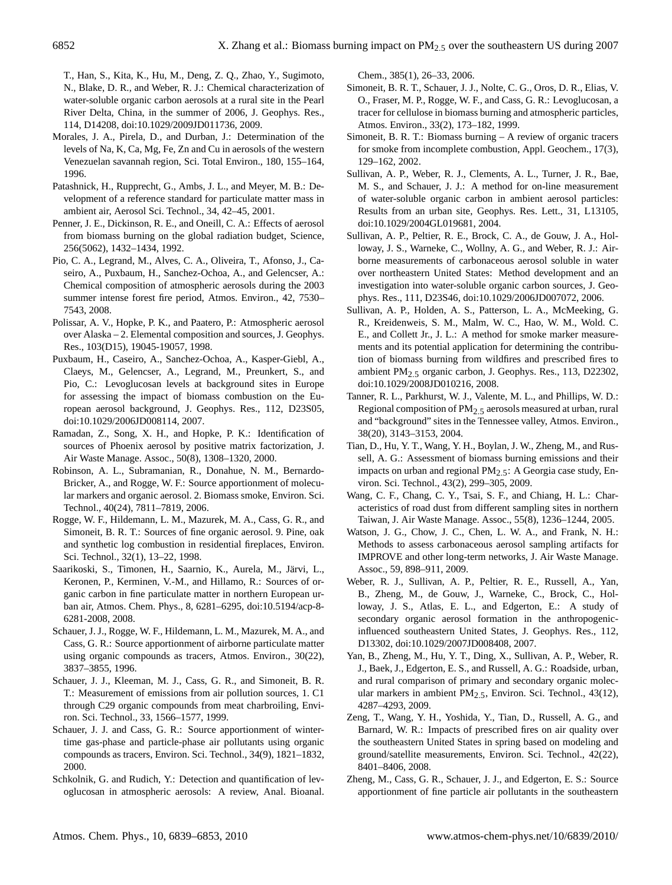T., Han, S., Kita, K., Hu, M., Deng, Z. Q., Zhao, Y., Sugimoto, N., Blake, D. R., and Weber, R. J.: Chemical characterization of water-soluble organic carbon aerosols at a rural site in the Pearl River Delta, China, in the summer of 2006, J. Geophys. Res., 114, D14208, doi:10.1029/2009JD011736, 2009.

- Morales, J. A., Pirela, D., and Durban, J.: Determination of the levels of Na, K, Ca, Mg, Fe, Zn and Cu in aerosols of the western Venezuelan savannah region, Sci. Total Environ., 180, 155–164, 1996.
- Patashnick, H., Rupprecht, G., Ambs, J. L., and Meyer, M. B.: Development of a reference standard for particulate matter mass in ambient air, Aerosol Sci. Technol., 34, 42–45, 2001.
- Penner, J. E., Dickinson, R. E., and Oneill, C. A.: Effects of aerosol from biomass burning on the global radiation budget, Science, 256(5062), 1432–1434, 1992.
- Pio, C. A., Legrand, M., Alves, C. A., Oliveira, T., Afonso, J., Caseiro, A., Puxbaum, H., Sanchez-Ochoa, A., and Gelencser, A.: Chemical composition of atmospheric aerosols during the 2003 summer intense forest fire period, Atmos. Environ., 42, 7530– 7543, 2008.
- Polissar, A. V., Hopke, P. K., and Paatero, P.: Atmospheric aerosol over Alaska – 2. Elemental composition and sources, J. Geophys. Res., 103(D15), 19045-19057, 1998.
- Puxbaum, H., Caseiro, A., Sanchez-Ochoa, A., Kasper-Giebl, A., Claeys, M., Gelencser, A., Legrand, M., Preunkert, S., and Pio, C.: Levoglucosan levels at background sites in Europe for assessing the impact of biomass combustion on the European aerosol background, J. Geophys. Res., 112, D23S05, doi:10.1029/2006JD008114, 2007.
- Ramadan, Z., Song, X. H., and Hopke, P. K.: Identification of sources of Phoenix aerosol by positive matrix factorization, J. Air Waste Manage. Assoc., 50(8), 1308–1320, 2000.
- Robinson, A. L., Subramanian, R., Donahue, N. M., Bernardo-Bricker, A., and Rogge, W. F.: Source apportionment of molecular markers and organic aerosol. 2. Biomass smoke, Environ. Sci. Technol., 40(24), 7811–7819, 2006.
- Rogge, W. F., Hildemann, L. M., Mazurek, M. A., Cass, G. R., and Simoneit, B. R. T.: Sources of fine organic aerosol. 9. Pine, oak and synthetic log combustion in residential fireplaces, Environ. Sci. Technol., 32(1), 13–22, 1998.
- Saarikoski, S., Timonen, H., Saarnio, K., Aurela, M., Järvi, L., Keronen, P., Kerminen, V.-M., and Hillamo, R.: Sources of organic carbon in fine particulate matter in northern European urban air, Atmos. Chem. Phys., 8, 6281–6295, doi:10.5194/acp-8- 6281-2008, 2008.
- Schauer, J. J., Rogge, W. F., Hildemann, L. M., Mazurek, M. A., and Cass, G. R.: Source apportionment of airborne particulate matter using organic compounds as tracers, Atmos. Environ., 30(22), 3837–3855, 1996.
- Schauer, J. J., Kleeman, M. J., Cass, G. R., and Simoneit, B. R. T.: Measurement of emissions from air pollution sources, 1. C1 through C29 organic compounds from meat charbroiling, Environ. Sci. Technol., 33, 1566–1577, 1999.
- Schauer, J. J. and Cass, G. R.: Source apportionment of wintertime gas-phase and particle-phase air pollutants using organic compounds as tracers, Environ. Sci. Technol., 34(9), 1821–1832, 2000.
- Schkolnik, G. and Rudich, Y.: Detection and quantification of levoglucosan in atmospheric aerosols: A review, Anal. Bioanal.

Chem., 385(1), 26–33, 2006.

- Simoneit, B. R. T., Schauer, J. J., Nolte, C. G., Oros, D. R., Elias, V. O., Fraser, M. P., Rogge, W. F., and Cass, G. R.: Levoglucosan, a tracer for cellulose in biomass burning and atmospheric particles, Atmos. Environ., 33(2), 173–182, 1999.
- Simoneit, B. R. T.: Biomass burning A review of organic tracers for smoke from incomplete combustion, Appl. Geochem., 17(3), 129–162, 2002.
- Sullivan, A. P., Weber, R. J., Clements, A. L., Turner, J. R., Bae, M. S., and Schauer, J. J.: A method for on-line measurement of water-soluble organic carbon in ambient aerosol particles: Results from an urban site, Geophys. Res. Lett., 31, L13105, doi:10.1029/2004GL019681, 2004.
- Sullivan, A. P., Peltier, R. E., Brock, C. A., de Gouw, J. A., Holloway, J. S., Warneke, C., Wollny, A. G., and Weber, R. J.: Airborne measurements of carbonaceous aerosol soluble in water over northeastern United States: Method development and an investigation into water-soluble organic carbon sources, J. Geophys. Res., 111, D23S46, doi:10.1029/2006JD007072, 2006.
- Sullivan, A. P., Holden, A. S., Patterson, L. A., McMeeking, G. R., Kreidenweis, S. M., Malm, W. C., Hao, W. M., Wold. C. E., and Collett Jr., J. L.: A method for smoke marker measurements and its potential application for determining the contribution of biomass burning from wildfires and prescribed fires to ambient PM2.5 organic carbon, J. Geophys. Res., 113, D22302, doi:10.1029/2008JD010216, 2008.
- Tanner, R. L., Parkhurst, W. J., Valente, M. L., and Phillips, W. D.: Regional composition of  $PM<sub>2.5</sub>$  aerosols measured at urban, rural and "background" sites in the Tennessee valley, Atmos. Environ., 38(20), 3143–3153, 2004.
- Tian, D., Hu, Y. T., Wang, Y. H., Boylan, J. W., Zheng, M., and Russell, A. G.: Assessment of biomass burning emissions and their impacts on urban and regional  $PM<sub>2.5</sub>$ : A Georgia case study, Environ. Sci. Technol., 43(2), 299–305, 2009.
- Wang, C. F., Chang, C. Y., Tsai, S. F., and Chiang, H. L.: Characteristics of road dust from different sampling sites in northern Taiwan, J. Air Waste Manage. Assoc., 55(8), 1236–1244, 2005.
- Watson, J. G., Chow, J. C., Chen, L. W. A., and Frank, N. H.: Methods to assess carbonaceous aerosol sampling artifacts for IMPROVE and other long-term networks, J. Air Waste Manage. Assoc., 59, 898–911, 2009.
- Weber, R. J., Sullivan, A. P., Peltier, R. E., Russell, A., Yan, B., Zheng, M., de Gouw, J., Warneke, C., Brock, C., Holloway, J. S., Atlas, E. L., and Edgerton, E.: A study of secondary organic aerosol formation in the anthropogenicinfluenced southeastern United States, J. Geophys. Res., 112, D13302, doi:10.1029/2007JD008408, 2007.
- Yan, B., Zheng, M., Hu, Y. T., Ding, X., Sullivan, A. P., Weber, R. J., Baek, J., Edgerton, E. S., and Russell, A. G.: Roadside, urban, and rural comparison of primary and secondary organic molecular markers in ambient  $PM_{2.5}$ , Environ. Sci. Technol., 43(12), 4287–4293, 2009.
- Zeng, T., Wang, Y. H., Yoshida, Y., Tian, D., Russell, A. G., and Barnard, W. R.: Impacts of prescribed fires on air quality over the southeastern United States in spring based on modeling and ground/satellite measurements, Environ. Sci. Technol., 42(22), 8401–8406, 2008.
- Zheng, M., Cass, G. R., Schauer, J. J., and Edgerton, E. S.: Source apportionment of fine particle air pollutants in the southeastern